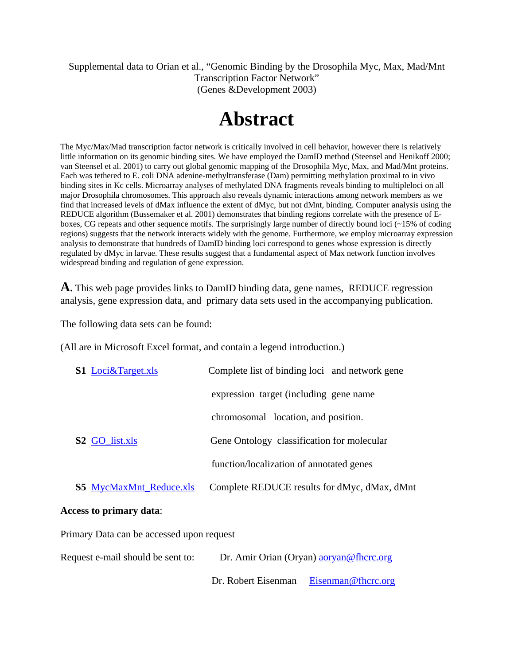Supplemental data to Orian et al., "Genomic Binding by the Drosophila Myc, Max, Mad/Mnt Transcription Factor Network" (Genes &Development 2003)

## **Abstract**

The Myc/Max/Mad transcription factor network is critically involved in cell behavior, however there is relatively little information on its genomic binding sites. We have employed the DamID method (Steensel and Henikoff 2000; van Steensel et al. 2001) to carry out global genomic mapping of the Drosophila Myc, Max, and Mad/Mnt proteins. Each was tethered to E. coli DNA adenine-methyltransferase (Dam) permitting methylation proximal to in vivo binding sites in Kc cells. Microarray analyses of methylated DNA fragments reveals binding to multipleloci on all major Drosophila chromosomes. This approach also reveals dynamic interactions among network members as we find that increased levels of dMax influence the extent of dMyc, but not dMnt, binding. Computer analysis using the REDUCE algorithm (Bussemaker et al. 2001) demonstrates that binding regions correlate with the presence of Eboxes, CG repeats and other sequence motifs. The surprisingly large number of directly bound loci (~15% of coding regions) suggests that the network interacts widely with the genome. Furthermore, we employ microarray expression analysis to demonstrate that hundreds of DamID binding loci correspond to genes whose expression is directly regulated by dMyc in larvae. These results suggest that a fundamental aspect of Max network function involves widespread binding and regulation of gene expression.

**A.** This web page provides links to DamID binding data, gene names, REDUCE regression analysis, gene expression data, and primary data sets used in the accompanying publication.

The following data sets can be found:

(All are in Microsoft Excel format, and contain a legend introduction.)

| <b>S1</b> Loci&Target.xls      | Complete list of binding loci and network gene |
|--------------------------------|------------------------------------------------|
|                                | expression target (including gene name)        |
|                                | chromosomal location, and position.            |
| <b>S2 GO</b> list.xls          | Gene Ontology classification for molecular     |
|                                | function/localization of annotated genes       |
| <b>S5 MycMaxMnt Reduce.xls</b> | Complete REDUCE results for dMyc, dMax, dMnt   |
| <b>Access to primary data:</b> |                                                |

Primary Data can be accessed upon request

Request e-mail should be sent to: Dr. Amir Orian (Oryan) aoryan@fhcrc.org

Dr. Robert Eisenman Eisenman@fhcrc.org